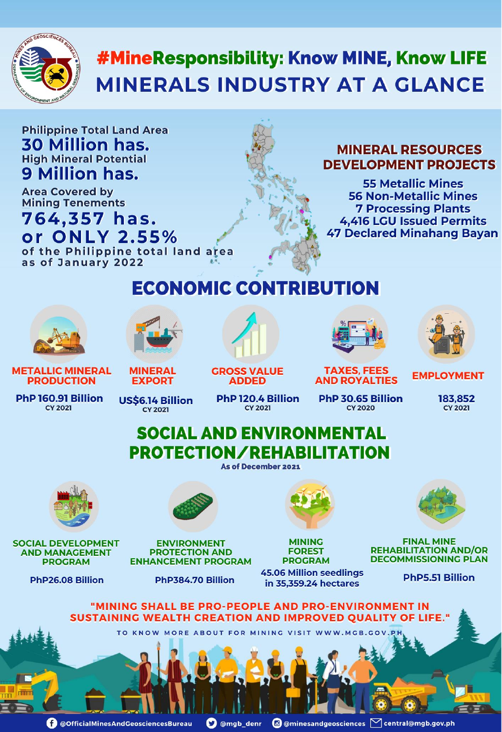

# #MineResponsibility: Know MINE, Know LIFE **MINERALS INDUSTRY AT A GLANCE**

## **Philippine Total Land Area 30 Million has. High Mineral Potential** 9 Million has.

**Area Covered by<br>Mining Tenements** 764,357 has. or ONLY 2.55%

of the Philippine total land area

### **MINERAL RESOURCES DEVELOPMENT PROJECTS**

**55 Metallic Mines 56 Non-Metallic Mines 7 Processing Plants** 4,416 LGU Issued Permits **47 Declared Minahang Bayan** 

#### as of January 2022

## **ECONOMIC CONTRIBUTION**



## **SOCIAL AND ENVIRONMENTAL PROTECTION/REHABILITATION**

**As of December 2021** 









#### **ENVIRONMENT PROTECTION AND ENHANCEMENT PROGRAM**

**MINING FOREST PROGRAM** 

**FINAL MINE REHABILITATION AND/OR DECOMMISSIONING PLAN** 

PhP26.08 Billion

**SOCIAL DEVELOPMENT** 

**AND MANAGEMENT** 

**PROGRAM** 

#### PhP384.70 Billion

**45.06 Million seedlings** in 35,359.24 hectares

**PhP5.51 Billion** 

### "MINING SHALL BE PRO-PEOPLE AND PRO-ENVIRONMENT IN **SUSTAINING WEALTH CREATION AND IMPROVED QUALITY OF LIFE."**

TO KNOW MORE ABOUT FOR MINING VISIT WWW.MGB.GOV.PH

O @OfficialMinesAndGeosciencesBureau **O** @mgb\_denr

@ @minesandgeosciences M central@mgb.gov.ph